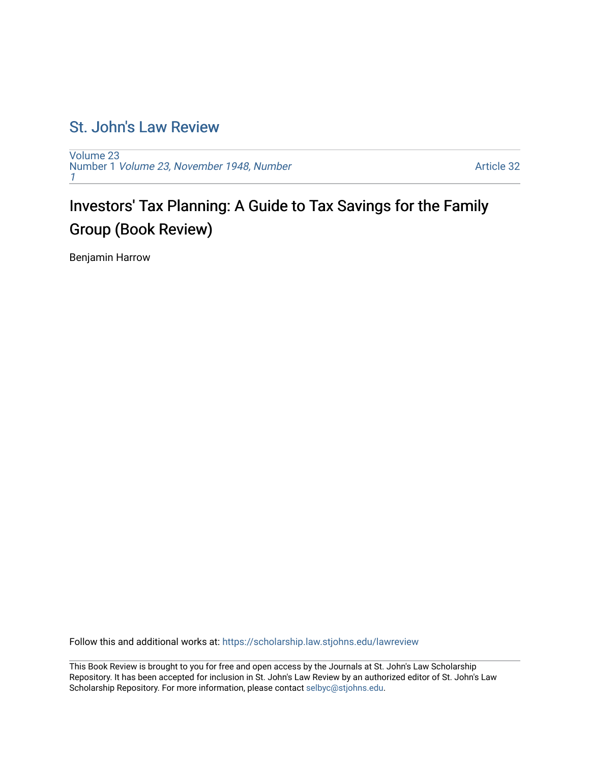## [St. John's Law Review](https://scholarship.law.stjohns.edu/lawreview)

[Volume 23](https://scholarship.law.stjohns.edu/lawreview/vol23) Number 1 [Volume 23, November 1948, Number](https://scholarship.law.stjohns.edu/lawreview/vol23/iss1) [1](https://scholarship.law.stjohns.edu/lawreview/vol23/iss1)

[Article 32](https://scholarship.law.stjohns.edu/lawreview/vol23/iss1/32) 

## Investors' Tax Planning: A Guide to Tax Savings for the Family Group (Book Review)

Benjamin Harrow

Follow this and additional works at: [https://scholarship.law.stjohns.edu/lawreview](https://scholarship.law.stjohns.edu/lawreview?utm_source=scholarship.law.stjohns.edu%2Flawreview%2Fvol23%2Fiss1%2F32&utm_medium=PDF&utm_campaign=PDFCoverPages) 

This Book Review is brought to you for free and open access by the Journals at St. John's Law Scholarship Repository. It has been accepted for inclusion in St. John's Law Review by an authorized editor of St. John's Law Scholarship Repository. For more information, please contact [selbyc@stjohns.edu](mailto:selbyc@stjohns.edu).